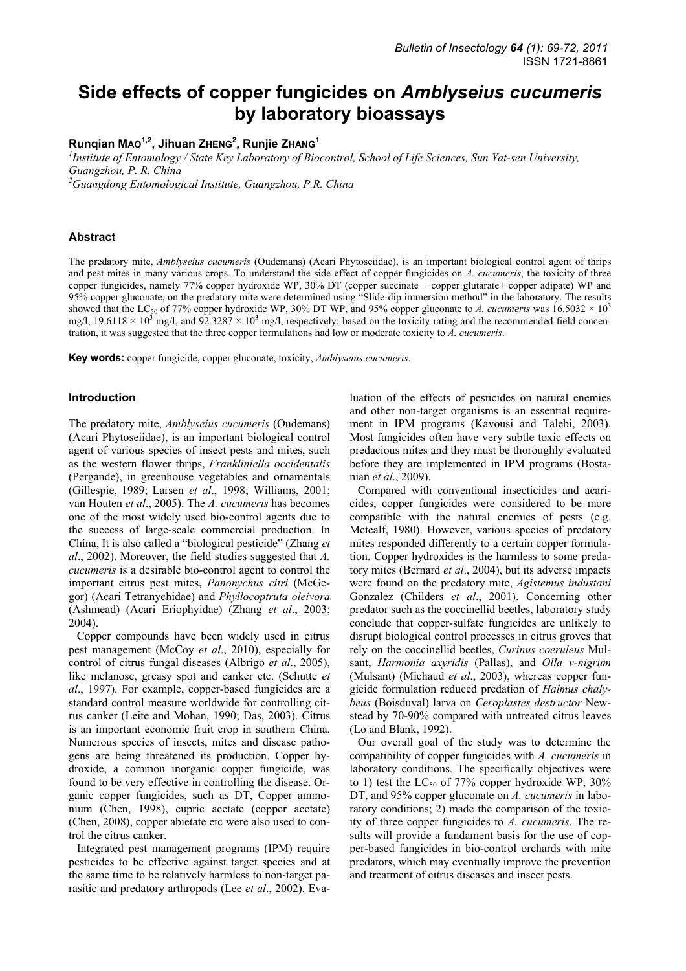# **Side effects of copper fungicides on** *Amblyseius cucumeris* **by laboratory bioassays**

# **Runqian MAO1,2, Jihuan ZHENG2 , Runjie ZHANG<sup>1</sup>**

*1 Institute of Entomology / State Key Laboratory of Biocontrol, School of Life Sciences, Sun Yat-sen University, Guangzhou, P. R. China* 

*2 Guangdong Entomological Institute, Guangzhou, P.R. China* 

# **Abstract**

The predatory mite, *Amblyseius cucumeris* (Oudemans) (Acari Phytoseiidae), is an important biological control agent of thrips and pest mites in many various crops. To understand the side effect of copper fungicides on *A. cucumeris*, the toxicity of three copper fungicides, namely 77% copper hydroxide WP, 30% DT (copper succinate + copper glutarate+ copper adipate) WP and 95% copper gluconate, on the predatory mite were determined using "Slide-dip immersion method" in the laboratory. The results showed that the LC<sub>50</sub> of 77% copper hydroxide WP, 30% DT WP, and 95% copper gluconate to A. cucumeris was  $16.5032 \times 10^{3}$ mg/l,  $19.6118 \times 10^3$  mg/l, and  $92.3287 \times 10^3$  mg/l, respectively; based on the toxicity rating and the recommended field concentration, it was suggested that the three copper formulations had low or moderate toxicity to *A. cucumeris*.

**Key words:** copper fungicide, copper gluconate, toxicity, *Amblyseius cucumeris*.

### **Introduction**

The predatory mite, *Amblyseius cucumeris* (Oudemans) (Acari Phytoseiidae), is an important biological control agent of various species of insect pests and mites, such as the western flower thrips, *Frankliniella occidentalis* (Pergande), in greenhouse vegetables and ornamentals (Gillespie, 1989; Larsen *et al*., 1998; Williams, 2001; van Houten *et al*., 2005). The *A. cucumeris* has becomes one of the most widely used bio-control agents due to the success of large-scale commercial production. In China, It is also called a "biological pesticide" (Zhang *et al*., 2002). Moreover, the field studies suggested that *A. cucumeris* is a desirable bio-control agent to control the important citrus pest mites, *Panonychus citri* (McGegor) (Acari Tetranychidae) and *Phyllocoptruta oleivora* (Ashmead) (Acari Eriophyidae) (Zhang *et al*., 2003; 2004).

Copper compounds have been widely used in citrus pest management (McCoy *et al*., 2010), especially for control of citrus fungal diseases (Albrigo *et al*., 2005), like melanose, greasy spot and canker etc. (Schutte *et al*., 1997). For example, copper-based fungicides are a standard control measure worldwide for controlling citrus canker (Leite and Mohan, 1990; Das, 2003). Citrus is an important economic fruit crop in southern China. Numerous species of insects, mites and disease pathogens are being threatened its production. Copper hydroxide, a common inorganic copper fungicide, was found to be very effective in controlling the disease. Organic copper fungicides, such as DT, Copper ammonium (Chen, 1998), cupric acetate (copper acetate) (Chen, 2008), copper abietate etc were also used to control the citrus canker.

Integrated pest management programs (IPM) require pesticides to be effective against target species and at the same time to be relatively harmless to non-target parasitic and predatory arthropods (Lee *et al*., 2002). Evaluation of the effects of pesticides on natural enemies and other non-target organisms is an essential requirement in IPM programs (Kavousi and Talebi, 2003). Most fungicides often have very subtle toxic effects on predacious mites and they must be thoroughly evaluated before they are implemented in IPM programs (Bostanian *et al*., 2009).

Compared with conventional insecticides and acaricides, copper fungicides were considered to be more compatible with the natural enemies of pests (e.g. Metcalf, 1980). However, various species of predatory mites responded differently to a certain copper formulation. Copper hydroxides is the harmless to some predatory mites (Bernard *et al*., 2004), but its adverse impacts were found on the predatory mite, *Agistemus industani* Gonzalez (Childers *et al*., 2001). Concerning other predator such as the coccinellid beetles, laboratory study conclude that copper-sulfate fungicides are unlikely to disrupt biological control processes in citrus groves that rely on the coccinellid beetles, *Curinus coeruleus* Mulsant, *Harmonia axyridis* (Pallas), and *Olla v-nigrum* (Mulsant) (Michaud *et al*., 2003), whereas copper fungicide formulation reduced predation of *Halmus chalybeus* (Boisduval) larva on *Ceroplastes destructor* Newstead by 70-90% compared with untreated citrus leaves (Lo and Blank, 1992).

Our overall goal of the study was to determine the compatibility of copper fungicides with *A. cucumeris* in laboratory conditions. The specifically objectives were to 1) test the  $LC_{50}$  of 77% copper hydroxide WP, 30% DT, and 95% copper gluconate on *A. cucumeris* in laboratory conditions; 2) made the comparison of the toxicity of three copper fungicides to *A. cucumeris*. The results will provide a fundament basis for the use of copper-based fungicides in bio-control orchards with mite predators, which may eventually improve the prevention and treatment of citrus diseases and insect pests.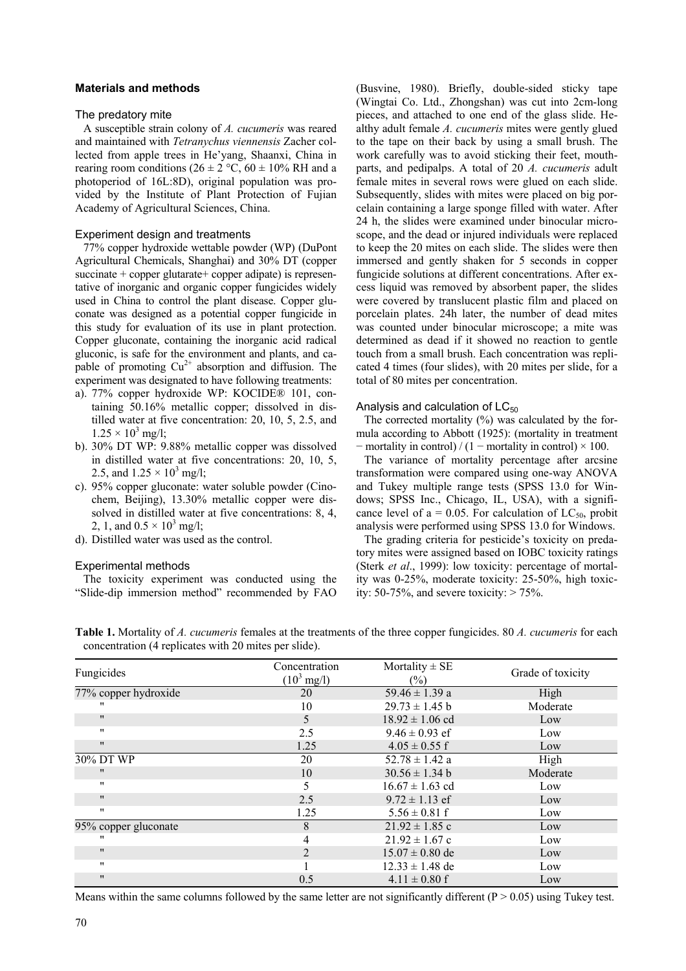# **Materials and methods**

#### The predatory mite

A susceptible strain colony of *A. cucumeris* was reared and maintained with *Tetranychus viennensis* Zacher collected from apple trees in He'yang, Shaanxi, China in rearing room conditions ( $26 \pm 2$  °C,  $60 \pm 10\%$  RH and a photoperiod of 16L:8D), original population was provided by the Institute of Plant Protection of Fujian Academy of Agricultural Sciences, China.

# Experiment design and treatments

77% copper hydroxide wettable powder (WP) (DuPont Agricultural Chemicals, Shanghai) and 30% DT (copper succinate + copper glutarate + copper adipate) is representative of inorganic and organic copper fungicides widely used in China to control the plant disease. Copper gluconate was designed as a potential copper fungicide in this study for evaluation of its use in plant protection. Copper gluconate, containing the inorganic acid radical gluconic, is safe for the environment and plants, and capable of promoting  $Cu^{2+}$  absorption and diffusion. The experiment was designated to have following treatments:

- a). 77% copper hydroxide WP: KOCIDE® 101, containing 50.16% metallic copper; dissolved in distilled water at five concentration: 20, 10, 5, 2.5, and  $1.25 \times 10^3$  mg/l;
- b). 30% DT WP: 9.88% metallic copper was dissolved in distilled water at five concentrations: 20, 10, 5, 2.5, and  $1.25 \times 10^3$  mg/l;
- c). 95% copper gluconate: water soluble powder (Cinochem, Beijing), 13.30% metallic copper were dissolved in distilled water at five concentrations: 8, 4, 2, 1, and  $0.5 \times 10^3$  mg/l;
- d). Distilled water was used as the control.

#### Experimental methods

The toxicity experiment was conducted using the "Slide-dip immersion method" recommended by FAO (Busvine, 1980). Briefly, double-sided sticky tape (Wingtai Co. Ltd., Zhongshan) was cut into 2cm-long pieces, and attached to one end of the glass slide. Healthy adult female *A. cucumeris* mites were gently glued to the tape on their back by using a small brush. The work carefully was to avoid sticking their feet, mouthparts, and pedipalps. A total of 20 *A. cucumeris* adult female mites in several rows were glued on each slide. Subsequently, slides with mites were placed on big porcelain containing a large sponge filled with water. After 24 h, the slides were examined under binocular microscope, and the dead or injured individuals were replaced to keep the 20 mites on each slide. The slides were then immersed and gently shaken for 5 seconds in copper fungicide solutions at different concentrations. After excess liquid was removed by absorbent paper, the slides were covered by translucent plastic film and placed on porcelain plates. 24h later, the number of dead mites was counted under binocular microscope; a mite was determined as dead if it showed no reaction to gentle touch from a small brush. Each concentration was replicated 4 times (four slides), with 20 mites per slide, for a total of 80 mites per concentration.

#### Analysis and calculation of  $LC_{50}$

The corrected mortality  $(\%)$  was calculated by the formula according to Abbott (1925): (mortality in treatment  $-$  mortality in control) / (1  $-$  mortality in control)  $\times$  100.

The variance of mortality percentage after arcsine transformation were compared using one-way ANOVA and Tukey multiple range tests (SPSS 13.0 for Windows; SPSS Inc., Chicago, IL, USA), with a significance level of  $a = 0.05$ . For calculation of LC<sub>50</sub>, probit analysis were performed using SPSS 13.0 for Windows.

The grading criteria for pesticide's toxicity on predatory mites were assigned based on IOBC toxicity ratings (Sterk *et al*., 1999): low toxicity: percentage of mortality was 0-25%, moderate toxicity: 25-50%, high toxicity:  $50-75\%$ , and severe toxicity:  $> 75\%$ .

| Fungicides           | Concentration         | Mortality $\pm$ SE  | Grade of toxicity |
|----------------------|-----------------------|---------------------|-------------------|
|                      | $(10^3 \text{ mg/l})$ | $(\%)$              |                   |
| 77% copper hydroxide | 20                    | $59.46 \pm 1.39$ a  | High              |
| .,                   | 10                    | $29.73 \pm 1.45$ b  | Moderate          |
| $^{\prime\prime}$    | 5                     | $18.92 \pm 1.06$ cd | Low               |
| $^{\prime\prime}$    | 2.5                   | $9.46 \pm 0.93$ ef  | Low               |
| $^{\prime\prime}$    | 1.25                  | $4.05 \pm 0.55$ f   | Low               |
| 30% DT WP            | 20                    | $52.78 \pm 1.42$ a  | High              |
| $^{\prime\prime}$    | 10                    | $30.56 \pm 1.34$ b  | Moderate          |
| $^{\prime\prime}$    | 5                     | $16.67 \pm 1.63$ cd | Low               |
| $^{\prime\prime}$    | 2.5                   | $9.72 \pm 1.13$ ef  | Low               |
| $^{\prime\prime}$    | 1.25                  | $5.56 \pm 0.81$ f   | Low               |
| 95% copper gluconate | 8                     | $21.92 \pm 1.85$ c  | Low               |
| "                    | 4                     | $21.92 \pm 1.67$ c  | Low               |
| $^{\prime\prime}$    | 2                     | $15.07 \pm 0.80$ de | Low               |
| $^{\prime\prime}$    |                       | $12.33 \pm 1.48$ de | Low               |
| $^{\prime\prime}$    | 0.5                   | $4.11 \pm 0.80$ f   | Low               |

**Table 1.** Mortality of *A. cucumeris* females at the treatments of the three copper fungicides. 80 *A. cucumeris* for each concentration (4 replicates with 20 mites per slide).

Means within the same columns followed by the same letter are not significantly different  $(P > 0.05)$  using Tukey test.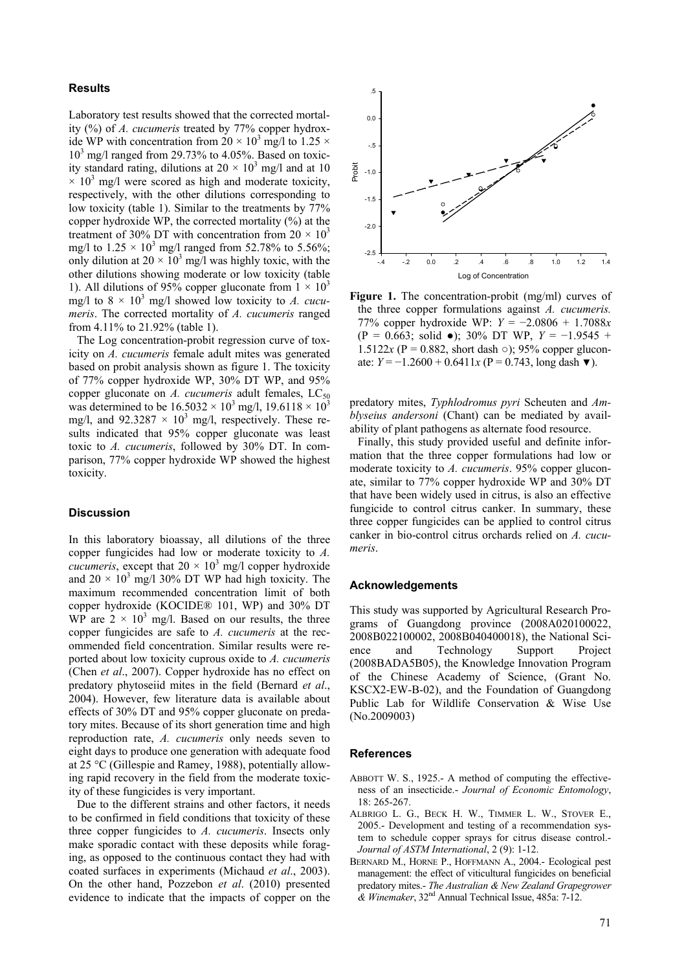# **Results**

Laboratory test results showed that the corrected mortality (%) of *A. cucumeris* treated by 77% copper hydroxide WP with concentration from  $20 \times 10^3$  mg/l to 1.25  $\times$ 10<sup>3</sup> mg/l ranged from 29.73% to 4.05%. Based on toxicity standard rating, dilutions at  $20 \times 10^3$  mg/l and at 10  $\times$  10<sup>3</sup> mg/l were scored as high and moderate toxicity, respectively, with the other dilutions corresponding to low toxicity (table 1). Similar to the treatments by 77% copper hydroxide WP, the corrected mortality (%) at the treatment of 30% DT with concentration from  $20 \times 10^3$ mg/l to  $1.25 \times 10^3$  mg/l ranged from 52.78% to 5.56%; only dilution at  $20 \times 10^3$  mg/l was highly toxic, with the other dilutions showing moderate or low toxicity (table 1). All dilutions of 95% copper gluconate from  $1 \times 10^3$ mg/l to  $8 \times 10^3$  mg/l showed low toxicity to *A. cucumeris*. The corrected mortality of *A. cucumeris* ranged from 4.11% to 21.92% (table 1).

The Log concentration-probit regression curve of toxicity on *A. cucumeris* female adult mites was generated based on probit analysis shown as figure 1. The toxicity of 77% copper hydroxide WP, 30% DT WP, and 95% copper gluconate on  $A$ . *cucumeris* adult females,  $LC_{50}$ was determined to be  $16.5032 \times 10^3$  mg/l,  $19.6118 \times 10^3$ mg/l, and  $92.3287 \times 10^3$  mg/l, respectively. These results indicated that 95% copper gluconate was least toxic to *A. cucumeris*, followed by 30% DT. In comparison, 77% copper hydroxide WP showed the highest toxicity.

# **Discussion**

In this laboratory bioassay, all dilutions of the three copper fungicides had low or moderate toxicity to *A. cucumeris*, except that  $20 \times 10^3$  mg/l copper hydroxide and  $20 \times 10^3$  mg/l 30% DT WP had high toxicity. The maximum recommended concentration limit of both copper hydroxide (KOCIDE® 101, WP) and 30% DT WP are  $2 \times 10^3$  mg/l. Based on our results, the three copper fungicides are safe to *A. cucumeris* at the recommended field concentration. Similar results were reported about low toxicity cuprous oxide to *A. cucumeris* (Chen *et al*., 2007). Copper hydroxide has no effect on predatory phytoseiid mites in the field (Bernard *et al*., 2004). However, few literature data is available about effects of 30% DT and 95% copper gluconate on predatory mites. Because of its short generation time and high reproduction rate, *A. cucumeris* only needs seven to eight days to produce one generation with adequate food at 25 °C (Gillespie and Ramey, 1988), potentially allowing rapid recovery in the field from the moderate toxicity of these fungicides is very important.

Due to the different strains and other factors, it needs to be confirmed in field conditions that toxicity of these three copper fungicides to *A. cucumeris*. Insects only make sporadic contact with these deposits while foraging, as opposed to the continuous contact they had with coated surfaces in experiments (Michaud *et al*., 2003). On the other hand, Pozzebon *et al*. (2010) presented evidence to indicate that the impacts of copper on the



**Figure 1.** The concentration-probit (mg/ml) curves of the three copper formulations against *A. cucumeris.* 77% copper hydroxide WP: *Y* = −2.0806 + 1.7088*x* (P = 0.663; solid ●); 30% DT WP, *Y* = −1.9545 + 1.5122 $x (P = 0.882, \text{ short dash } \circ)$ ; 95% copper gluconate:  $Y = -1.2600 + 0.6411x$  (P = 0.743, long dash ▼).

predatory mites, *Typhlodromus pyri* Scheuten and *Amblyseius andersoni* (Chant) can be mediated by availability of plant pathogens as alternate food resource.

Finally, this study provided useful and definite information that the three copper formulations had low or moderate toxicity to *A. cucumeris*. 95% copper gluconate, similar to 77% copper hydroxide WP and 30% DT that have been widely used in citrus, is also an effective fungicide to control citrus canker. In summary, these three copper fungicides can be applied to control citrus canker in bio-control citrus orchards relied on *A. cucumeris*.

## **Acknowledgements**

This study was supported by Agricultural Research Programs of Guangdong province (2008A020100022, 2008B022100002, 2008B040400018), the National Science and Technology Support Project (2008BADA5B05), the Knowledge Innovation Program of the Chinese Academy of Science, (Grant No. KSCX2-EW-B-02), and the Foundation of Guangdong Public Lab for Wildlife Conservation & Wise Use (No.2009003)

#### **References**

- ABBOTT W. S., 1925.- A method of computing the effectiveness of an insecticide.- *Journal of Economic Entomology*, 18: 265-267.
- ALBRIGO L. G., BECK H. W., TIMMER L. W., STOVER E., 2005.- Development and testing of a recommendation system to schedule copper sprays for citrus disease control.- *Journal of ASTM International*, 2 (9): 1-12.
- BERNARD M., HORNE P., HOFFMANN A., 2004.- Ecological pest management: the effect of viticultural fungicides on beneficial predatory mites.- *The Australian & New Zealand Grapegrower & Winemaker*, 32nd Annual Technical Issue, 485a: 7-12.